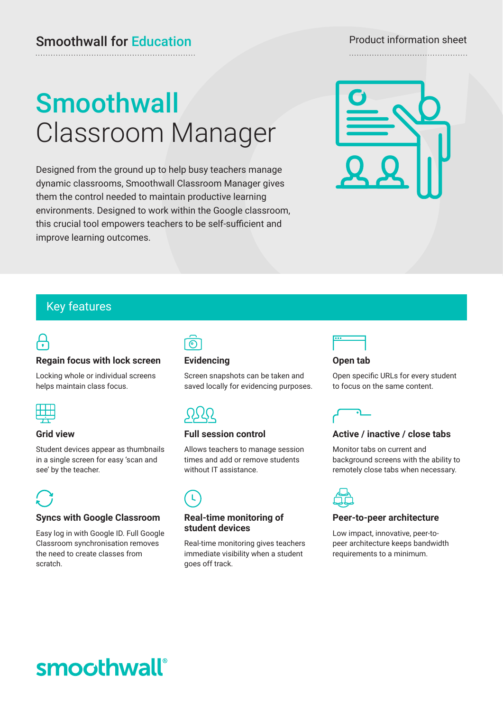# **Smoothwall** Classroom Manager

Designed from the ground up to help busy teachers manage dynamic classrooms, Smoothwall Classroom Manager gives them the control needed to maintain productive learning environments. Designed to work within the Google classroom, this crucial tool empowers teachers to be self-sufficient and improve learning outcomes.



## Key features

## <u>ل</u>

## **Regain focus with lock screen**

Locking whole or individual screens helps maintain class focus.



## **Grid view**

Student devices appear as thumbnails in a single screen for easy 'scan and see' by the teacher.



## **Syncs with Google Classroom**

Easy log in with Google ID. Full Google Classroom synchronisation removes the need to create classes from scratch.



## **Evidencing**

Screen snapshots can be taken and saved locally for evidencing purposes.

## **Full session control**

Allows teachers to manage session times and add or remove students without IT assistance.

## **Real-time monitoring of student devices**

Real-time monitoring gives teachers immediate visibility when a student goes off track.



## **Open tab**

Open specific URLs for every student to focus on the same content.



## **Active / inactive / close tabs**

Monitor tabs on current and background screens with the ability to remotely close tabs when necessary.



## **Peer-to-peer architecture**

Low impact, innovative, peer-topeer architecture keeps bandwidth requirements to a minimum.

# smoothwall®